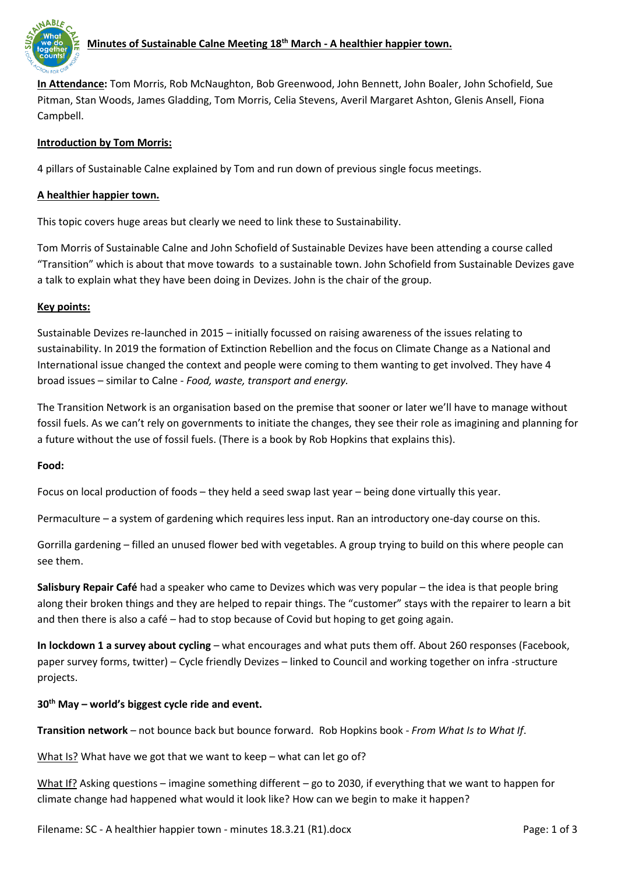

# **Minutes of Sustainable Calne Meeting 18th March - A healthier happier town.**

**In Attendance:** Tom Morris, Rob McNaughton, Bob Greenwood, John Bennett, John Boaler, John Schofield, Sue Pitman, Stan Woods, James Gladding, Tom Morris, Celia Stevens, Averil Margaret Ashton, Glenis Ansell, Fiona Campbell.

# **Introduction by Tom Morris:**

4 pillars of Sustainable Calne explained by Tom and run down of previous single focus meetings.

## **A healthier happier town.**

This topic covers huge areas but clearly we need to link these to Sustainability.

Tom Morris of Sustainable Calne and John Schofield of Sustainable Devizes have been attending a course called "Transition" which is about that move towards to a sustainable town. John Schofield from Sustainable Devizes gave a talk to explain what they have been doing in Devizes. John is the chair of the group.

## **Key points:**

Sustainable Devizes re-launched in 2015 – initially focussed on raising awareness of the issues relating to sustainability. In 2019 the formation of Extinction Rebellion and the focus on Climate Change as a National and International issue changed the context and people were coming to them wanting to get involved. They have 4 broad issues – similar to Calne - *Food, waste, transport and energy.* 

The Transition Network is an organisation based on the premise that sooner or later we'll have to manage without fossil fuels. As we can't rely on governments to initiate the changes, they see their role as imagining and planning for a future without the use of fossil fuels. (There is a book by Rob Hopkins that explains this).

## **Food:**

Focus on local production of foods – they held a seed swap last year – being done virtually this year.

Permaculture – a system of gardening which requires less input. Ran an introductory one-day course on this.

Gorrilla gardening – filled an unused flower bed with vegetables. A group trying to build on this where people can see them.

**Salisbury Repair Café** had a speaker who came to Devizes which was very popular – the idea is that people bring along their broken things and they are helped to repair things. The "customer" stays with the repairer to learn a bit and then there is also a café – had to stop because of Covid but hoping to get going again.

**In lockdown 1 a survey about cycling** – what encourages and what puts them off. About 260 responses (Facebook, paper survey forms, twitter) – Cycle friendly Devizes – linked to Council and working together on infra -structure projects.

## **30th May – world's biggest cycle ride and event.**

**Transition network** – not bounce back but bounce forward. Rob Hopkins book - *From What Is to What If*.

What Is? What have we got that we want to keep – what can let go of?

What If? Asking questions – imagine something different – go to 2030, if everything that we want to happen for climate change had happened what would it look like? How can we begin to make it happen?

Filename: SC - A healthier happier town - minutes 18.3.21 (R1).docx Page: 1 of 3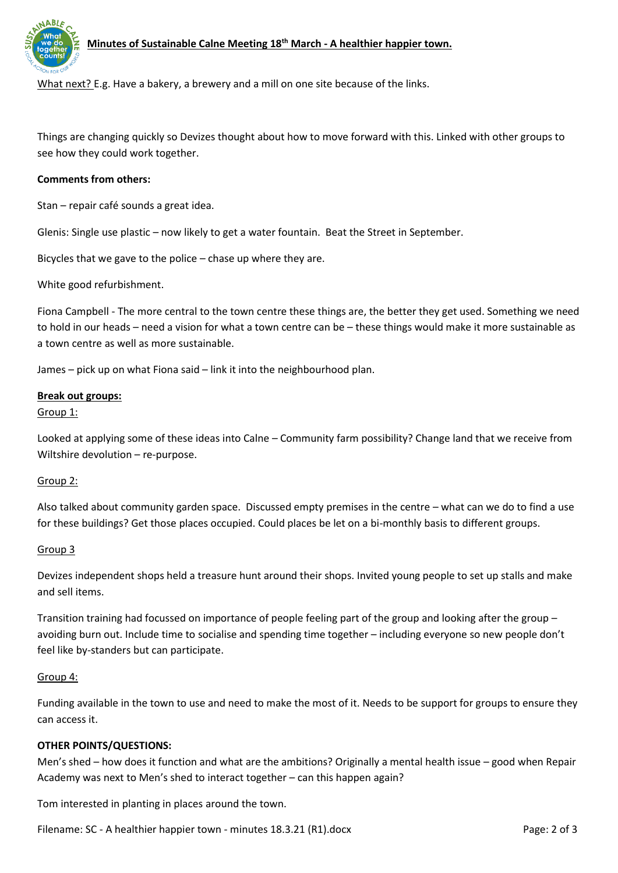

# **Minutes of Sustainable Calne Meeting 18th March - A healthier happier town.**

What next? E.g. Have a bakery, a brewery and a mill on one site because of the links.

Things are changing quickly so Devizes thought about how to move forward with this. Linked with other groups to see how they could work together.

### **Comments from others:**

Stan – repair café sounds a great idea.

Glenis: Single use plastic – now likely to get a water fountain. Beat the Street in September.

Bicycles that we gave to the police – chase up where they are.

White good refurbishment.

Fiona Campbell - The more central to the town centre these things are, the better they get used. Something we need to hold in our heads – need a vision for what a town centre can be – these things would make it more sustainable as a town centre as well as more sustainable.

James – pick up on what Fiona said – link it into the neighbourhood plan.

#### **Break out groups:**

Group 1:

Looked at applying some of these ideas into Calne – Community farm possibility? Change land that we receive from Wiltshire devolution – re-purpose.

### Group 2:

Also talked about community garden space. Discussed empty premises in the centre – what can we do to find a use for these buildings? Get those places occupied. Could places be let on a bi-monthly basis to different groups.

### Group 3

Devizes independent shops held a treasure hunt around their shops. Invited young people to set up stalls and make and sell items.

Transition training had focussed on importance of people feeling part of the group and looking after the group – avoiding burn out. Include time to socialise and spending time together – including everyone so new people don't feel like by-standers but can participate.

#### Group 4:

Funding available in the town to use and need to make the most of it. Needs to be support for groups to ensure they can access it.

## **OTHER POINTS/QUESTIONS:**

Men's shed – how does it function and what are the ambitions? Originally a mental health issue – good when Repair Academy was next to Men's shed to interact together – can this happen again?

Tom interested in planting in places around the town.

Filename: SC - A healthier happier town - minutes 18.3.21 (R1).docx Page: 2 of 3